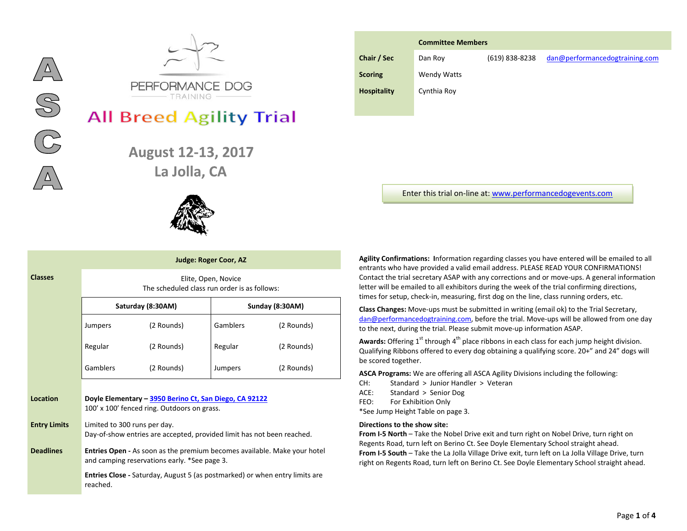



# **All Breed Agility Trial**

**August 12-13, 2017** La Jolla, CA



|         | <b>Judge: Roger Coor, AZ</b> |                                                                                                                                 |                                              |                     |            |  |  |
|---------|------------------------------|---------------------------------------------------------------------------------------------------------------------------------|----------------------------------------------|---------------------|------------|--|--|
|         | <b>Classes</b>               |                                                                                                                                 | The scheduled class run order is as follows: | Elite, Open, Novice |            |  |  |
|         |                              |                                                                                                                                 | Saturday (8:30AM)                            | Sunday (8:30AM)     |            |  |  |
|         |                              | Jumpers                                                                                                                         | (2 Rounds)                                   | <b>Gamblers</b>     | (2 Rounds) |  |  |
| Regular |                              | (2 Rounds)                                                                                                                      | Regular                                      | (2 Rounds)          |            |  |  |
|         |                              | Gamblers                                                                                                                        | (2 Rounds)                                   | Jumpers             | (2 Rounds) |  |  |
|         | Location                     | Doyle Elementary - 3950 Berino Ct, San Diego, CA 92122<br>100' x 100' fenced ring. Outdoors on grass.                           |                                              |                     |            |  |  |
|         | <b>Entry Limits</b>          | Limited to 300 runs per day.<br>Day-of-show entries are accepted, provided limit has not been reached.                          |                                              |                     |            |  |  |
|         | <b>Deadlines</b>             | <b>Entries Open - As soon as the premium becomes available. Make your hotel</b><br>and camping reservations early. *See page 3. |                                              |                     |            |  |  |
|         |                              | <b>Entries Close</b> - Saturday, August 5 (as postmarked) or when entry limits are<br>reached.                                  |                                              |                     |            |  |  |

|                    | <b>Committee Members</b> |                |                                |  |  |  |
|--------------------|--------------------------|----------------|--------------------------------|--|--|--|
| Chair / Sec        | Dan Roy                  | (619) 838-8238 | dan@performancedogtraining.com |  |  |  |
| <b>Scoring</b>     | <b>Wendy Watts</b>       |                |                                |  |  |  |
| <b>Hospitality</b> | Cynthia Roy              |                |                                |  |  |  |
|                    |                          |                |                                |  |  |  |

Enter this trial on-line at[: www.performancedogevents.com](http://www.performancedogevents.com/)

**Agility Confirmations: I**nformation regarding classes you have entered will be emailed to all entrants who have provided a valid email address. PLEASE READ YOUR CONFIRMATIONS! Contact the trial secretary ASAP with any corrections and or move-ups. A general information letter will be emailed to all exhibitors during the week of the trial confirming directions, times for setup, check-in, measuring, first dog on the line, class running orders, etc.

**Class Changes:** Move-ups must be submitted in writing (email ok) to the Trial Secretary, [dan@performancedogtraining.com,](mailto:dan@performancedogtraining.com) before the trial. Move-ups will be allowed from one day to the next, during the trial. Please submit move-up information ASAP.

**Awards:** Offering 1<sup>st</sup> through 4<sup>th</sup> place ribbons in each class for each jump height division. Qualifying Ribbons offered to every dog obtaining a qualifying score. 20+" and 24" dogs will be scored together.

**ASCA Programs:** We are offering all ASCA Agility Divisions including the following:

- CH: Standard > Junior Handler > Veteran
- ACE: Standard > Senior Dog
- FEO: For Exhibition Only

\*See Jump Height Table on page 3.

# **Directions to the show site:**

**From I-5 North** – Take the Nobel Drive exit and turn right on Nobel Drive, turn right on Regents Road, turn left on Berino Ct. See Doyle Elementary School straight ahead. **From I-5 South** – Take the La Jolla Village Drive exit, turn left on La Jolla Village Drive, turn right on Regents Road, turn left on Berino Ct. See Doyle Elementary School straight ahead.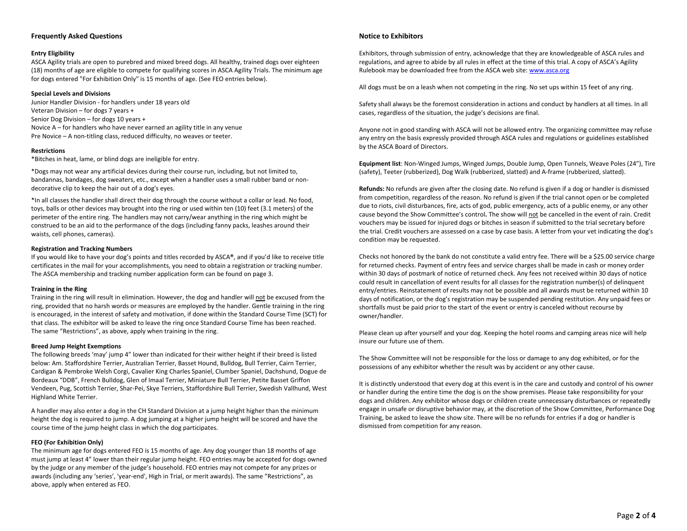# **Frequently Asked Questions**

# **Entry Eligibility**

ASCA Agility trials are open to purebred and mixed breed dogs. All healthy, trained dogs over eighteen (18) months of age are eligible to compete for qualifying scores in ASCA Agility Trials. The minimum age for dogs entered "For Exhibition Only" is 15 months of age. (See FEO entries below).

# **Special Levels and Divisions**

Junior Handler Division - for handlers under 18 years old Veteran Division – for dogs 7 years + Senior Dog Division – for dogs 10 years + Novice A – for handlers who have never earned an agility title in any venue Pre Novice – A non-titling class, reduced difficulty, no weaves or teeter.

#### **Restrictions**

\*Bitches in heat, lame, or blind dogs are ineligible for entry.

\*Dogs may not wear any artificial devices during their course run, including, but not limited to, bandannas, bandages, dog sweaters, etc., except when a handler uses a small rubber band or nondecorative clip to keep the hair out of a dog's eyes.

\*In all classes the handler shall direct their dog through the course without a collar or lead. No food, toys, balls or other devices may brought into the ring or used within ten (10) feet (3.1 meters) of the perimeter of the entire ring. The handlers may not carry/wear anything in the ring which might be construed to be an aid to the performance of the dogs (including fanny packs, leashes around their waists, cell phones, cameras).

#### **Registration and Tracking Numbers**

If you would like to have your dog's points and titles recorded by ASCA**®**, and if you'd like to receive title certificates in the mail for your accomplishments, you need to obtain a registration or tracking number. The ASCA membership and tracking number application form can be found on page 3.

#### **Training in the Ring**

Training in the ring will result in elimination. However, the dog and handler will not be excused from the ring, provided that no harsh words or measures are employed by the handler. Gentle training in the ring is encouraged, in the interest of safety and motivation, if done within the Standard Course Time (SCT) for that class. The exhibitor will be asked to leave the ring once Standard Course Time has been reached. The same "Restrictions", as above, apply when training in the ring.

#### **Breed Jump Height Exemptions**

The following breeds 'may' jump 4" lower than indicated for their wither height if their breed is listed below: Am. Staffordshire Terrier, Australian Terrier, Basset Hound, Bulldog, Bull Terrier, Cairn Terrier, Cardigan & Pembroke Welsh Corgi, Cavalier King Charles Spaniel, Clumber Spaniel, Dachshund, Dogue de Bordeaux "DDB", French Bulldog, Glen of Imaal Terrier, Miniature Bull Terrier, Petite Basset Griffon Vendeen, Pug, Scottish Terrier, Shar-Pei, Skye Terriers, Staffordshire Bull Terrier, Swedish Vallhund, West Highland White Terrier.

A handler may also enter a dog in the CH Standard Division at a jump height higher than the minimum height the dog is required to jump. A dog jumping at a higher jump height will be scored and have the course time of the jump height class in which the dog participates.

# **FEO (For Exhibition Only)**

The minimum age for dogs entered FEO is 15 months of age. Any dog younger than 18 months of age must jump at least 4" lower than their regular jump height. FEO entries may be accepted for dogs owned by the judge or any member of the judge's household. FEO entries may not compete for any prizes or awards (including any 'series', 'year-end', High in Trial, or merit awards). The same "Restrictions", as above, apply when entered as FEO.

#### **Notice to Exhibitors**

Exhibitors, through submission of entry, acknowledge that they are knowledgeable of ASCA rules and regulations, and agree to abide by all rules in effect at the time of this trial. A copy of ASCA's Agility Rulebook may be downloaded free from the ASCA web site[: www.asca.org](http://www.asca.org/)

All dogs must be on a leash when not competing in the ring. No set ups within 15 feet of any ring.

Safety shall always be the foremost consideration in actions and conduct by handlers at all times. In all cases, regardless of the situation, the judge's decisions are final.

Anyone not in good standing with ASCA will not be allowed entry. The organizing committee may refuse any entry on the basis expressly provided through ASCA rules and regulations or guidelines established by the ASCA Board of Directors.

**Equipment list**: Non-Winged Jumps, Winged Jumps, Double Jump, Open Tunnels, Weave Poles (24"), Tire (safety), Teeter (rubberized), Dog Walk (rubberized, slatted) and A-frame (rubberized, slatted).

**Refunds:** No refunds are given after the closing date. No refund is given if a dog or handler is dismissed from competition, regardless of the reason. No refund is given if the trial cannot open or be completed due to riots, civil disturbances, fire, acts of god, public emergency, acts of a public enemy, or any other cause beyond the Show Committee's control**.** The show will not be cancelled in the event of rain. Credit vouchers may be issued for injured dogs or bitches in season if submitted to the trial secretary before the trial. Credit vouchers are assessed on a case by case basis. A letter from your vet indicating the dog's condition may be requested.

Checks not honored by the bank do not constitute a valid entry fee. There will be a \$25.00 service charge for returned checks. Payment of entry fees and service charges shall be made in cash or money order within 30 days of postmark of notice of returned check. Any fees not received within 30 days of notice could result in cancellation of event results for all classes for the registration number(s) of delinquent entry/entries. Reinstatement of results may not be possible and all awards must be returned within 10 days of notification, or the dog's registration may be suspended pending restitution. Any unpaid fees or shortfalls must be paid prior to the start of the event or entry is canceled without recourse by owner/handler.

Please clean up after yourself and your dog. Keeping the hotel rooms and camping areas nice will help insure our future use of them.

The Show Committee will not be responsible for the loss or damage to any dog exhibited, or for the possessions of any exhibitor whether the result was by accident or any other cause.

It is distinctly understood that every dog at this event is in the care and custody and control of his owner or handler during the entire time the dog is on the show premises. Please take responsibility for your dogs and children. Any exhibitor whose dogs or children create unnecessary disturbances or repeatedly engage in unsafe or disruptive behavior may, at the discretion of the Show Committee, Performance Dog Training, be asked to leave the show site. There will be no refunds for entries if a dog or handler is dismissed from competition for any reason.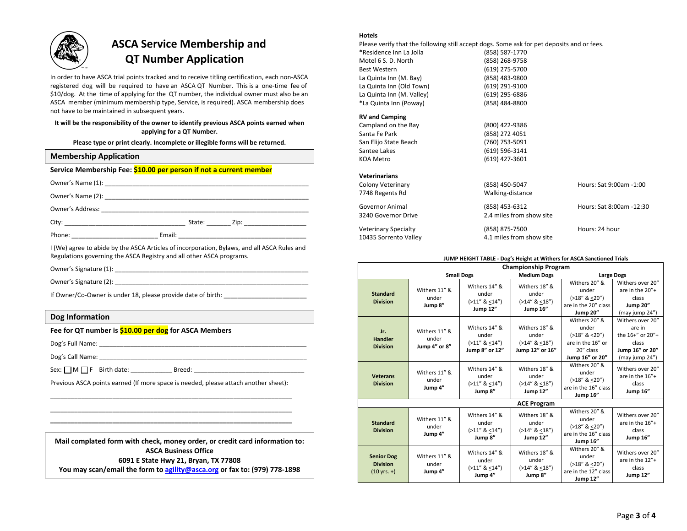

# **ASCA Service Membership and QT Number Application**

In order to have ASCA trial points tracked and to receive titling certification, each non-ASCA registered dog will be required to have an ASCA QT Number. This is a one-time fee of \$10/dog. At the time of applying for the QT number, the individual owner must also be an ASCA member (minimum membership type, Service, is required). ASCA membership does not have to be maintained in subsequent years.

# **It will be the responsibility of the owner to identify previous ASCA points earned when applying for a QT Number.**

**Please type or print clearly. Incomplete or illegible forms will be returned.**

| <b>Membership Application</b>                                      |                                                                                             |  |  |  |
|--------------------------------------------------------------------|---------------------------------------------------------------------------------------------|--|--|--|
| Service Membership Fee: \$10.00 per person if not a current member |                                                                                             |  |  |  |
|                                                                    |                                                                                             |  |  |  |
|                                                                    |                                                                                             |  |  |  |
|                                                                    |                                                                                             |  |  |  |
|                                                                    |                                                                                             |  |  |  |
|                                                                    |                                                                                             |  |  |  |
|                                                                    | I (We) agree to abide by the ASCA Articles of incorporation, Bylaws, and all ASCA Rules and |  |  |  |

Regulations governing the ASCA Registry and all other ASCA programs.

Owner's Signature (1): \_\_\_\_\_\_\_\_\_\_\_\_\_\_\_\_\_\_\_\_\_\_\_\_\_\_\_\_\_\_\_\_\_\_\_\_\_\_\_\_\_\_\_\_\_\_\_\_\_\_\_\_\_\_\_\_

Owner's Signature (2): **with the set of the set of the set of the set of the set of the set of the set of the set of the set of the set of the set of the set of the set of the set of the set of the set of the set of the se** 

If Owner/Co-Owner is under 18, please provide date of birth:

# **Dog Information**

# **Fee for QT number is \$10.00 per dog for ASCA Members**

Dog's Full Name: \_\_\_\_\_\_\_\_\_\_\_\_\_\_\_\_\_\_\_\_\_\_\_\_\_\_\_\_\_\_\_\_\_\_\_\_\_\_\_\_\_\_\_\_\_\_\_\_\_\_\_\_\_\_\_\_\_\_\_\_

Dog's Call Name:  $\Box$ 

Sex: M F Birth date: \_\_\_\_\_\_\_\_\_\_\_\_ Breed: \_\_\_\_\_\_\_\_\_\_\_\_\_\_\_\_\_\_\_\_\_\_\_\_\_\_\_\_\_\_\_\_

Previous ASCA points earned (If more space is needed, please attach another sheet): \_\_\_\_\_\_\_\_\_\_\_\_\_\_\_\_\_\_\_\_\_\_\_\_\_\_\_\_\_\_\_\_\_\_\_\_\_\_\_\_\_\_\_\_\_\_\_\_\_\_\_\_\_\_\_\_\_\_\_\_\_\_\_\_\_\_\_\_\_\_

\_\_\_\_\_\_\_\_\_\_\_\_\_\_\_\_\_\_\_\_\_\_\_\_\_\_\_\_\_\_\_\_\_\_\_\_\_\_\_\_\_\_\_\_\_\_\_\_\_\_\_\_\_\_\_\_\_\_\_\_\_\_\_\_\_\_\_\_\_\_ **\_\_\_\_\_\_\_\_\_\_\_\_\_\_\_\_\_\_\_\_\_\_\_\_\_\_\_\_\_\_\_\_\_\_\_\_\_\_\_\_\_\_\_\_\_\_\_\_\_\_\_\_\_\_\_\_\_\_\_\_\_\_\_\_\_\_\_\_\_\_**

**Mail complated form with check, money order, or credit card information to: ASCA Business Office 6091 E State Hwy 21, Bryan, TX 77808 You may scan/email the form t[o agility@asca.org](mailto:agility@asca.org) or fax to: (979) 778-1898**

# **Hotels**

Please verify that the following still accept dogs. Some ask for pet deposits and or fees. \*Residence Inn La Jolla (858) 587-1770 Motel 6 S. D. North (858) 268-9758 Best Western (619) 275-5700 La Quinta Inn (M. Bay) (858) 483-9800 La Quinta Inn (Old Town) (619) 291-9100 La Quinta Inn (M. Valley) (619) 295-6886 \*La Quinta Inn (Poway) (858) 484-8800 **RV and Camping** Campland on the Bay (800) 422-9386 Santa Fe Park (858) 272 4051 San Elijo State Beach (760) 753-5091 Santee Lakes (619) 596-3141 KOA Metro (619) 427-3601 **Veterinarians** Colony Veterinary (858) 450-5047 Hours: Sat 9:00am -1:00 7748 Regents Rd Walking-distance Governor Animal (858) 453-6312 Hours: Sat 8:00am -12:30 3240 Governor Drive 2.4 miles from show site Veterinary Specialty **Matter Contract (858) 875-7500** Hours: 24 hour 10435 Sorrento Valley 4.1 miles from show site

#### **JUMP HEIGHT TABLE - Dog's Height at Withers for ASCA Sanctioned Trials**

|                                                                |                                                                                                                                                     |                                                              |                                                                               | <b>Championship Program</b>                                                                    |                                                                                              |  |
|----------------------------------------------------------------|-----------------------------------------------------------------------------------------------------------------------------------------------------|--------------------------------------------------------------|-------------------------------------------------------------------------------|------------------------------------------------------------------------------------------------|----------------------------------------------------------------------------------------------|--|
| <b>Small Dogs</b>                                              |                                                                                                                                                     |                                                              | <b>Medium Dogs</b>                                                            | <b>Large Dogs</b>                                                                              |                                                                                              |  |
| <b>Standard</b><br><b>Division</b>                             | Withers 11" &<br>under<br>Jump 8"                                                                                                                   | Withers 14" &<br>under<br>$(>11''$ & <14")<br>Jump 12"       | Withers 18" &<br>under<br>$(>14''$ & <18")<br>Jump 16"                        | Withers 20" &<br>under<br>$(>18"$ & <20")<br>are in the 20" class<br><b>Jump 20"</b>           | Withers over 20"<br>are in the $20'' +$<br>class<br><b>Jump 20"</b><br>(may jump 24")        |  |
| Jr.<br><b>Handler</b><br><b>Division</b>                       | Withers 11" &<br>under<br>Jump 4" or 8"                                                                                                             | Withers 14" &<br>under<br>$(>11''$ & <14")<br>Jump 8" or 12" | Withers 18" &<br>under<br>$(>14''$ & <18")<br>Jump 12" or 16"                 | Withers 20" &<br>under<br>$(>18"$ & <20")<br>are in the 16" or<br>20" class<br>Jump 16" or 20" | Withers over 20"<br>are in<br>the 16+" or 20"+<br>class<br>Jump 16" or 20"<br>(may jump 24") |  |
| <b>Veterans</b><br><b>Division</b>                             | Withers 11" &<br>under<br>Jump 4"                                                                                                                   | Withers 14" &<br>under<br>$(>11''$ & <14")<br>Jump 8"        | Withers 18" &<br>under<br>$(>14''$ & <18")<br>Jump 12"                        | Withers 20" &<br>under<br>$(>18"$ & <20")<br>are in the 16" class<br><b>Jump 16"</b>           | Withers over 20"<br>are in the 16"+<br>class<br>Jump 16"                                     |  |
|                                                                |                                                                                                                                                     |                                                              | <b>ACE Program</b>                                                            |                                                                                                |                                                                                              |  |
| <b>Standard</b><br><b>Division</b>                             | Withers 11" &<br>under<br>Jump 4"                                                                                                                   | Withers 14" &<br>under<br>$(>11''$ & <14")<br>Jump 8"        | Withers 18" &<br>under<br>$(>14''$ & <18")<br><b>Jump 12"</b>                 | Withers 20" &<br>under<br>$(>18"$ & <20")<br>are in the 16" class<br><b>Jump 16"</b>           | Withers over 20"<br>are in the $16"$ +<br>class<br>Jump 16"                                  |  |
| <b>Senior Dog</b><br><b>Division</b><br>$(10 \text{ yrs. } +)$ | Withers 14" &<br>Withers 18" &<br>Withers 11" &<br>under<br>under<br>under<br>$(>11''$ & <14")<br>$(>14''$ & <18")<br>Jump 4"<br>Jump 4"<br>Jump 8" |                                                              | Withers 20" &<br>under<br>$(>18"$ & <20")<br>are in the 12" class<br>Jump 12" | Withers over 20"<br>are in the 12"+<br>class<br>Jump 12"                                       |                                                                                              |  |